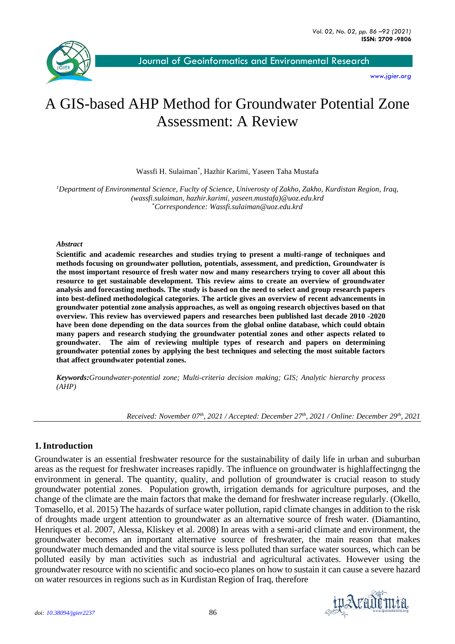

[Journal of Geoinformatics and Environmental Research](about:blank)

*[www.jgier.org](about:blank)*

# A GIS-based AHP Method for Groundwater Potential Zone Assessment: A Review

Wassfi H. Sulaiman\* , Hazhir Karimi, Yaseen Taha Mustafa

*<sup>1</sup>Department of Environmental Science, Fuclty of Science, Univerosty of Zakho, Zakho, Kurdistan Region, Iraq, (wassfi.sulaiman, hazhir.karimi, yaseen.mustafa)@uoz.edu.krd* \**Correspondence: Wassfi.sulaiman@uoz.edu.krd*

#### *Abstract*

**Scientific and academic researches and studies trying to present a multi-range of techniques and methods focusing on groundwater pollution, potentials, assessment, and prediction, Groundwater is the most important resource of fresh water now and many researchers trying to cover all about this resource to get sustainable development. This review aims to create an overview of groundwater analysis and forecasting methods. The study is based on the need to select and group research papers into best-defined methodological categories. The article gives an overview of recent advancements in groundwater potential zone analysis approaches, as well as ongoing research objectives based on that overview. This review has overviewed papers and researches been published last decade 2010 -2020 have been done depending on the data sources from the global online database, which could obtain many papers and research studying the groundwater potential zones and other aspects related to groundwater. The aim of reviewing multiple types of research and papers on determining groundwater potential zones by applying the best techniques and selecting the most suitable factors that affect groundwater potential zones.** 

*Keywords:Groundwater-potential zone; Multi-criteria decision making; GIS; Analytic hierarchy process (AHP)*

*Received: November 07th, 2021 / Accepted: December 27 th, 2021 / Online: December 29th, 2021*

#### **1.Introduction**

Groundwater is an essential freshwater resource for the sustainability of daily life in urban and suburban areas as the request for freshwater increases rapidly. The influence on groundwater is highlaffectingng the environment in general. The quantity, quality, and pollution of groundwater is crucial reason to study groundwater potential zones. Population growth, irrigation demands for agriculture purposes, and the change of the climate are the main factors that make the demand for freshwater increase regularly. (Okello, Tomasello, et al. 2015) The hazards of surface water pollution, rapid climate changes in addition to the risk of droughts made urgent attention to groundwater as an alternative source of fresh water. (Diamantino, Henriques et al. 2007, Alessa, Kliskey et al. 2008) In areas with a semi-arid climate and environment, the groundwater becomes an important alternative source of freshwater, the main reason that makes groundwater much demanded and the vital source is less polluted than surface water sources, which can be polluted easily by man activities such as industrial and agricultural activates. However using the groundwater resource with no scientific and socio-eco planes on how to sustain it can cause a severe hazard on water resources in regions such as in Kurdistan Region of Iraq, therefore

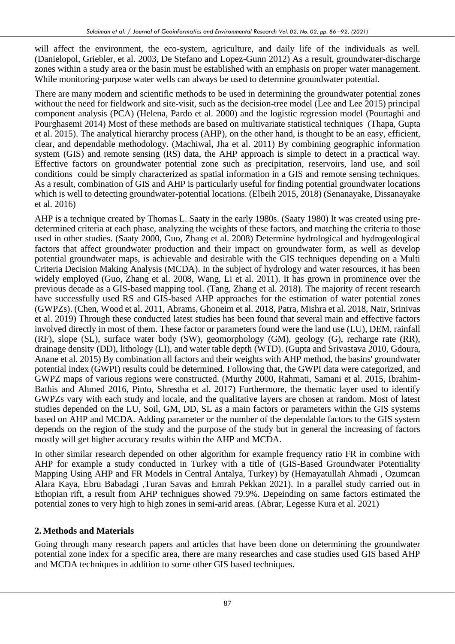will affect the environment, the eco-system, agriculture, and daily life of the individuals as well. (Danielopol, Griebler, et al. 2003, De Stefano and Lopez-Gunn 2012) As a result, groundwater-discharge zones within a study area or the basin must be established with an emphasis on proper water management. While monitoring-purpose water wells can always be used to determine groundwater potential.

There are many modern and scientific methods to be used in determining the groundwater potential zones without the need for fieldwork and site-visit, such as the decision-tree model (Lee and Lee 2015) principal component analysis (PCA) (Helena, Pardo et al. 2000) and the logistic regression model (Pourtaghi and Pourghasemi 2014) Most of these methods are based on multivariate statistical techniques (Thapa, Gupta et al. 2015). The analytical hierarchy process (AHP), on the other hand, is thought to be an easy, efficient, clear, and dependable methodology. (Machiwal, Jha et al. 2011) By combining geographic information system (GIS) and remote sensing (RS) data, the AHP approach is simple to detect in a practical way. Effective factors on groundwater potential zone such as precipitation, reservoirs, land use, and soil conditions could be simply characterized as spatial information in a GIS and remote sensing techniques. As a result, combination of GIS and AHP is particularly useful for finding potential groundwater locations which is well to detecting groundwater-potential locations. (Elbeih 2015, 2018) (Senanayake, Dissanayake et al. 2016)

AHP is a technique created by Thomas L. Saaty in the early 1980s. (Saaty 1980) It was created using predetermined criteria at each phase, analyzing the weights of these factors, and matching the criteria to those used in other studies. (Saaty 2000, Guo, Zhang et al. 2008) Determine hydrological and hydrogeological factors that affect groundwater production and their impact on groundwater form, as well as develop potential groundwater maps, is achievable and desirable with the GIS techniques depending on a Multi Criteria Decision Making Analysis (MCDA). In the subject of hydrology and water resources, it has been widely employed (Guo, Zhang et al. 2008, Wang, Li et al. 2011). It has grown in prominence over the previous decade as a GIS-based mapping tool. (Tang, Zhang et al. 2018). The majority of recent research have successfully used RS and GIS-based AHP approaches for the estimation of water potential zones (GWPZs). (Chen, Wood et al. 2011, Abrams, Ghoneim et al. 2018, Patra, Mishra et al. 2018, Nair, Srinivas et al. 2019) Through these conducted latest studies has been found that several main and effective factors involved directly in most of them. These factor or parameters found were the land use (LU), DEM, rainfall (RF), slope (SL), surface water body (SW), geomorphology (GM), geology (G), recharge rate (RR), drainage density (DD), lithology (LI), and water table depth (WTD). (Gupta and Srivastava 2010, Gdoura, Anane et al. 2015) By combination all factors and their weights with AHP method, the basins' groundwater potential index (GWPI) results could be determined. Following that, the GWPI data were categorized, and GWPZ maps of various regions were constructed. (Murthy 2000, Rahmati, Samani et al. 2015, Ibrahim-Bathis and Ahmed 2016, Pinto, Shrestha et al. 2017) Furthermore, the thematic layer used to identify GWPZs vary with each study and locale, and the qualitative layers are chosen at random. Most of latest studies depended on the LU, Soil, GM, DD, SL as a main factors or parameters within the GIS systems based on AHP and MCDA. Adding parameter or the number of the dependable factors to the GIS system depends on the region of the study and the purpose of the study but in general the increasing of factors mostly will get higher accuracy results within the AHP and MCDA.

In other similar research depended on other algorithm for example frequency ratio FR in combine with AHP for example a study conducted in Turkey with a title of (GIS-Based Groundwater Potentiality Mapping Using AHP and FR Models in Central Antalya, Turkey) by (Hemayatullah Ahmadi , Ozumcan Alara Kaya, Ebru Babadagi ,Turan Savas and Emrah Pekkan 2021). In a parallel study carried out in Ethopian rift, a result from AHP technigues showed 79.9%. Depeinding on same factors estimated the potential zones to very high to high zones in semi-arid areas. (Abrar, Legesse Kura et al. 2021)

## **2.Methods and Materials**

Going through many research papers and articles that have been done on determining the groundwater potential zone index for a specific area, there are many researches and case studies used GIS based AHP and MCDA techniques in addition to some other GIS based techniques.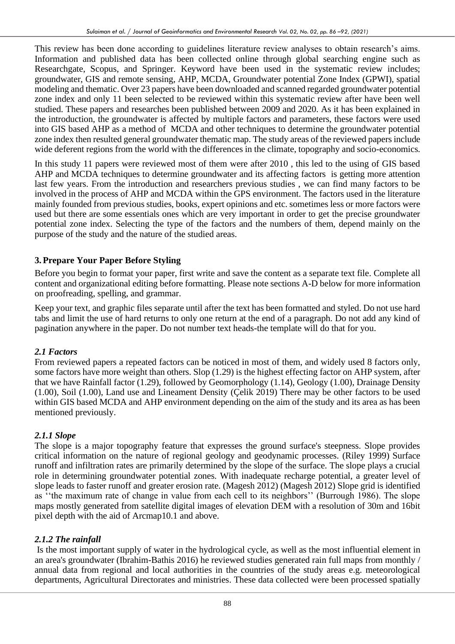This review has been done according to guidelines literature review analyses to obtain research's aims. Information and published data has been collected online through global searching engine such as Researchgate, Scopus, and Springer. Keyword have been used in the systematic review includes; groundwater, GIS and remote sensing, AHP, MCDA, Groundwater potential Zone Index (GPWI), spatial modeling and thematic. Over 23 papers have been downloaded and scanned regarded groundwater potential zone index and only 11 been selected to be reviewed within this systematic review after have been well studied. These papers and researches been published between 2009 and 2020. As it has been explained in the introduction, the groundwater is affected by multiple factors and parameters, these factors were used into GIS based AHP as a method of MCDA and other techniques to determine the groundwater potential zone index then resulted general groundwater thematic map. The study areas of the reviewed papers include wide deferent regions from the world with the differences in the climate, topography and socio-economics.

In this study 11 papers were reviewed most of them were after 2010 , this led to the using of GIS based AHP and MCDA techniques to determine groundwater and its affecting factors is getting more attention last few years. From the introduction and researchers previous studies , we can find many factors to be involved in the process of AHP and MCDA within the GPS environment. The factors used in the literature mainly founded from previous studies, books, expert opinions and etc. sometimes less or more factors were used but there are some essentials ones which are very important in order to get the precise groundwater potential zone index. Selecting the type of the factors and the numbers of them, depend mainly on the purpose of the study and the nature of the studied areas.

## **3.Prepare Your Paper Before Styling**

Before you begin to format your paper, first write and save the content as a separate text file. Complete all content and organizational editing before formatting. Please note sections A-D below for more information on proofreading, spelling, and grammar.

Keep your text, and graphic files separate until after the text has been formatted and styled. Do not use hard tabs and limit the use of hard returns to only one return at the end of a paragraph. Do not add any kind of pagination anywhere in the paper. Do not number text heads-the template will do that for you.

## *2.1 Factors*

From reviewed papers a repeated factors can be noticed in most of them, and widely used 8 factors only, some factors have more weight than others. Slop (1.29) is the highest effecting factor on AHP system, after that we have Rainfall factor (1.29), followed by Geomorphology (1.14), Geology (1.00), Drainage Density (1.00), Soil (1.00), Land use and Lineament Density (Çelik 2019) There may be other factors to be used within GIS based MCDA and AHP environment depending on the aim of the study and its area as has been mentioned previously.

## *2.1.1 Slope*

The slope is a major topography feature that expresses the ground surface's steepness. Slope provides critical information on the nature of regional geology and geodynamic processes. (Riley 1999) Surface runoff and infiltration rates are primarily determined by the slope of the surface. The slope plays a crucial role in determining groundwater potential zones. With inadequate recharge potential, a greater level of slope leads to faster runoff and greater erosion rate. (Magesh 2012) (Magesh 2012) Slope grid is identified as ''the maximum rate of change in value from each cell to its neighbors'' (Burrough 1986). The slope maps mostly generated from satellite digital images of elevation DEM with a resolution of 30m and 16bit pixel depth with the aid of Arcmap10.1 and above.

## *2.1.2 The rainfall*

Is the most important supply of water in the hydrological cycle, as well as the most influential element in an area's groundwater (Ibrahim-Bathis 2016) he reviewed studies generated rain full maps from monthly / annual data from regional and local authorities in the countries of the study areas e.g. meteorological departments, Agricultural Directorates and ministries. These data collected were been processed spatially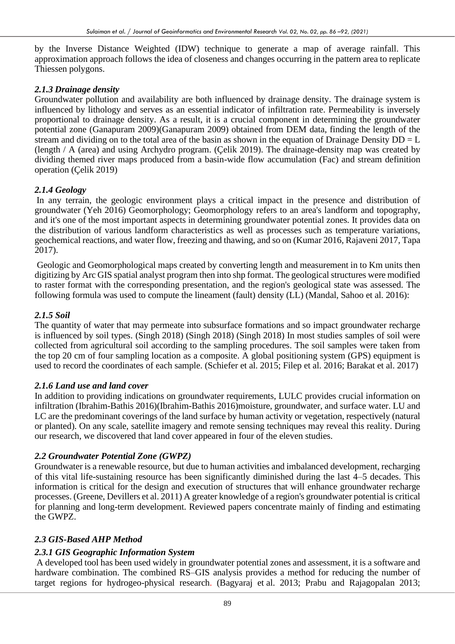by the Inverse Distance Weighted (IDW) technique to generate a map of average rainfall. This approximation approach follows the idea of closeness and changes occurring in the pattern area to replicate Thiessen polygons.

#### *2.1.3 Drainage density*

Groundwater pollution and availability are both influenced by drainage density. The drainage system is influenced by lithology and serves as an essential indicator of infiltration rate. Permeability is inversely proportional to drainage density. As a result, it is a crucial component in determining the groundwater potential zone (Ganapuram 2009)(Ganapuram 2009) obtained from DEM data, finding the length of the stream and dividing on to the total area of the basin as shown in the equation of Drainage Density  $DD = L$ (length / A (area) and using Archydro program. (Çelik 2019). The drainage-density map was created by dividing themed river maps produced from a basin-wide flow accumulation (Fac) and stream definition operation (Çelik 2019)

## *2.1.4 Geology*

In any terrain, the geologic environment plays a critical impact in the presence and distribution of groundwater (Yeh 2016) Geomorphology; Geomorphology refers to an area's landform and topography, and it's one of the most important aspects in determining groundwater potential zones. It provides data on the distribution of various landform characteristics as well as processes such as temperature variations, geochemical reactions, and water flow, freezing and thawing, and so on (Kumar 2016, Rajaveni 2017, Tapa 2017).

Geologic and Geomorphological maps created by converting length and measurement in to Km units then digitizing by Arc GIS spatial analyst program then into shp format. The geological structures were modified to raster format with the corresponding presentation, and the region's geological state was assessed. The following formula was used to compute the lineament (fault) density (LL) (Mandal, Sahoo et al. 2016):

#### *2.1.5 Soil*

The quantity of water that may permeate into subsurface formations and so impact groundwater recharge is influenced by soil types. (Singh 2018) (Singh 2018) (Singh 2018) In most studies samples of soil were collected from agricultural soil according to the sampling procedures. The soil samples were taken from the top 20 cm of four sampling location as a composite. A global positioning system (GPS) equipment is used to record the coordinates of each sample. (Schiefer et al. 2015; Filep et al. 2016; Barakat et al. 2017)

#### *2.1.6 Land use and land cover*

In addition to providing indications on groundwater requirements, LULC provides crucial information on infiltration (Ibrahim-Bathis 2016)(Ibrahim-Bathis 2016)moisture, groundwater, and surface water. LU and LC are the predominant coverings of the land surface by human activity or vegetation, respectively (natural or planted). On any scale, satellite imagery and remote sensing techniques may reveal this reality. During our research, we discovered that land cover appeared in four of the eleven studies.

#### *2.2 Groundwater Potential Zone (GWPZ)*

Groundwater is a renewable resource, but due to human activities and imbalanced development, recharging of this vital life-sustaining resource has been significantly diminished during the last 4–5 decades. This information is critical for the design and execution of structures that will enhance groundwater recharge processes. (Greene, Devillers et al. 2011) A greater knowledge of a region's groundwater potential is critical for planning and long-term development. Reviewed papers concentrate mainly of finding and estimating the GWPZ.

## *2.3 GIS-Based AHP Method*

## *2.3.1 GIS Geographic Information System*

A developed tool has been used widely in groundwater potential zones and assessment, it is a software and hardware combination. The combined RS–GIS analysis provides a method for reducing the number of target regions for hydrogeo-physical research. (Bagyaraj et al. 2013; Prabu and Rajagopalan 2013;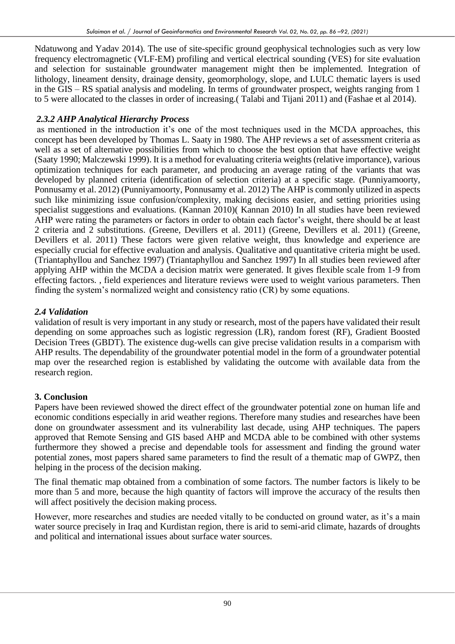Ndatuwong and Yadav 2014). The use of site-specific ground geophysical technologies such as very low frequency electromagnetic (VLF-EM) profiling and vertical electrical sounding (VES) for site evaluation and selection for sustainable groundwater management might then be implemented. Integration of lithology, lineament density, drainage density, geomorphology, slope, and LULC thematic layers is used in the GIS – RS spatial analysis and modeling. In terms of groundwater prospect, weights ranging from 1 to 5 were allocated to the classes in order of increasing.( Talabi and Tijani 2011) and (Fashae et al 2014).

## *2.3.2 AHP Analytical Hierarchy Process*

as mentioned in the introduction it's one of the most techniques used in the MCDA approaches, this concept has been developed by Thomas L. Saaty in 1980. The AHP reviews a set of assessment criteria as well as a set of alternative possibilities from which to choose the best option that have effective weight (Saaty 1990; Malczewski 1999). It is a method for evaluating criteria weights (relative importance), various optimization techniques for each parameter, and producing an average rating of the variants that was developed by planned criteria (identification of selection criteria) at a specific stage. (Punniyamoorty, Ponnusamy et al. 2012) (Punniyamoorty, Ponnusamy et al. 2012) The AHP is commonly utilized in aspects such like minimizing issue confusion/complexity, making decisions easier, and setting priorities using specialist suggestions and evaluations. (Kannan 2010)( Kannan 2010) In all studies have been reviewed AHP were rating the parameters or factors in order to obtain each factor's weight, there should be at least 2 criteria and 2 substitutions. (Greene, Devillers et al. 2011) (Greene, Devillers et al. 2011) (Greene, Devillers et al. 2011) These factors were given relative weight, thus knowledge and experience are especially crucial for effective evaluation and analysis. Qualitative and quantitative criteria might be used. (Triantaphyllou and Sanchez 1997) (Triantaphyllou and Sanchez 1997) In all studies been reviewed after applying AHP within the MCDA a decision matrix were generated. It gives flexible scale from 1-9 from effecting factors. , field experiences and literature reviews were used to weight various parameters. Then finding the system's normalized weight and consistency ratio (CR) by some equations.

## *2.4 Validation*

validation of result is very important in any study or research, most of the papers have validated their result depending on some approaches such as logistic regression (LR), random forest (RF), Gradient Boosted Decision Trees (GBDT). The existence dug-wells can give precise validation results in a comparism with AHP results. The dependability of the groundwater potential model in the form of a groundwater potential map over the researched region is established by validating the outcome with available data from the research region.

# **3. Conclusion**

Papers have been reviewed showed the direct effect of the groundwater potential zone on human life and economic conditions especially in arid weather regions. Therefore many studies and researches have been done on groundwater assessment and its vulnerability last decade, using AHP techniques. The papers approved that Remote Sensing and GIS based AHP and MCDA able to be combined with other systems furthermore they showed a precise and dependable tools for assessment and finding the ground water potential zones, most papers shared same parameters to find the result of a thematic map of GWPZ, then helping in the process of the decision making.

The final thematic map obtained from a combination of some factors. The number factors is likely to be more than 5 and more, because the high quantity of factors will improve the accuracy of the results then will affect positively the decision making process.

However, more researches and studies are needed vitally to be conducted on ground water, as it's a main water source precisely in Iraq and Kurdistan region, there is arid to semi-arid climate, hazards of droughts and political and international issues about surface water sources.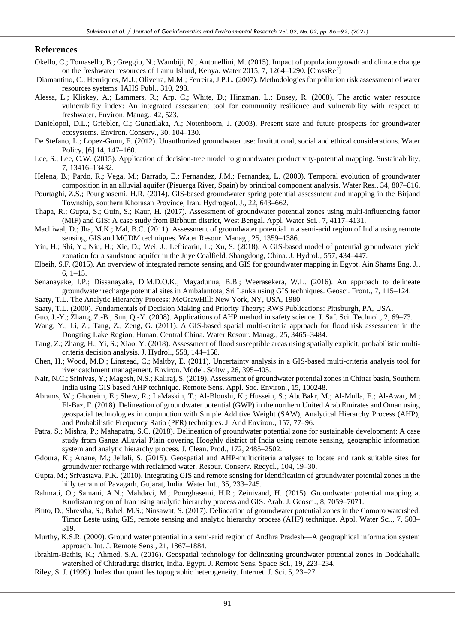#### **References**

- Okello, C.; Tomasello, B.; Greggio, N.; Wambiji, N.; Antonellini, M. (2015). Impact of population growth and climate change on the freshwater resources of Lamu Island, Kenya. Water 2015, 7, 1264–1290. [CrossRef]
- Diamantino, C.; Henriques, M.J.; Oliveira, M.M.; Ferreira, J.P.L. (2007). Methodologies for pollution risk assessment of water resources systems. IAHS Publ., 310, 298.
- Alessa, L.; Kliskey, A.; Lammers, R.; Arp, C.; White, D.; Hinzman, L.; Busey, R. (2008). The arctic water resource vulnerability index: An integrated assessment tool for community resilience and vulnerability with respect to freshwater. Environ. Manag., 42, 523.
- Danielopol, D.L.; Griebler, C.; Gunatilaka, A.; Notenboom, J. (2003). Present state and future prospects for groundwater ecosystems. Environ. Conserv., 30, 104–130.
- De Stefano, L.; Lopez-Gunn, E. (2012). Unauthorized groundwater use: Institutional, social and ethical considerations. Water Policy, [6] 14, 147–160.
- Lee, S.; Lee, C.W. (2015). Application of decision-tree model to groundwater productivity-potential mapping. Sustainability, 7, 13416–13432.
- Helena, B.; Pardo, R.; Vega, M.; Barrado, E.; Fernandez, J.M.; Fernandez, L. (2000). Temporal evolution of groundwater composition in an alluvial aquifer (Pisuerga River, Spain) by principal component analysis. Water Res., 34, 807–816.
- Pourtaghi, Z.S.; Pourghasemi, H.R. (2014). GIS-based groundwater spring potential assessment and mapping in the Birjand Township, southern Khorasan Province, Iran. Hydrogeol. J., 22, 643–662.
- Thapa, R.; Gupta, S.; Guin, S.; Kaur, H. (2017). Assessment of groundwater potential zones using multi-influencing factor (MIF) and GIS: A case study from Birbhum district, West Bengal. Appl. Water Sci., 7, 4117–4131.
- Machiwal, D.; Jha, M.K.; Mal, B.C. (2011). Assessment of groundwater potential in a semi-arid region of India using remote sensing, GIS and MCDM techniques. Water Resour. Manag., 25, 1359–1386.
- Yin, H.; Shi, Y.; Niu, H.; Xie, D.; Wei, J.; Lefticariu, L.; Xu, S. (2018). A GIS-based model of potential groundwater yield zonation for a sandstone aquifer in the Juye Coalfield, Shangdong, China. J. Hydrol., 557, 434–447.
- Elbeih, S.F. (2015). An overview of integrated remote sensing and GIS for groundwater mapping in Egypt. Ain Shams Eng. J., 6, 1–15.
- Senanayake, I.P.; Dissanayake, D.M.D.O.K.; Mayadunna, B.B.; Weerasekera, W.L. (2016). An approach to delineate groundwater recharge potential sites in Ambalantota, Sri Lanka using GIS techniques. Geosci. Front., 7, 115–124.
- Saaty, T.L. The Analytic Hierarchy Process; McGrawHill: New York, NY, USA, 1980
- Saaty, T.L. (2000). Fundamentals of Decision Making and Priority Theory; RWS Publications: Pittsburgh, PA, USA.
- Guo, J.-Y.; Zhang, Z.-B.; Sun, Q.-Y. (2008). Applications of AHP method in safety science. J. Saf. Sci. Technol., 2, 69–73.
- Wang, Y.; Li, Z.; Tang, Z.; Zeng, G. (2011). A GIS-based spatial multi-criteria approach for flood risk assessment in the Dongting Lake Region, Hunan, Central China. Water Resour. Manag., 25, 3465–3484.
- Tang, Z.; Zhang, H.; Yi, S.; Xiao, Y. (2018). Assessment of flood susceptible areas using spatially explicit, probabilistic multicriteria decision analysis. J. Hydrol., 558, 144–158.
- Chen, H.; Wood, M.D.; Linstead, C.; Maltby, E. (2011). Uncertainty analysis in a GIS-based multi-criteria analysis tool for river catchment management. Environ. Model. Softw., 26, 395–405.
- Nair, N.C.; Srinivas, Y.; Magesh, N.S.; Kaliraj, S. (2019). Assessment of groundwater potential zones in Chittar basin, Southern India using GIS based AHP technique. Remote Sens. Appl. Soc. Environ., 15, 100248.
- Abrams, W.; Ghoneim, E.; Shew, R.; LaMaskin, T.; Al-Bloushi, K.; Hussein, S.; AbuBakr, M.; Al-Mulla, E.; Al-Awar, M.; El-Baz, F. (2018). Delineation of groundwater potential (GWP) in the northern United Arab Emirates and Oman using geospatial technologies in conjunction with Simple Additive Weight (SAW), Analytical Hierarchy Process (AHP), and Probabilistic Frequency Ratio (PFR) techniques. J. Arid Environ., 157, 77–96.
- Patra, S.; Mishra, P.; Mahapatra, S.C. (2018). Delineation of groundwater potential zone for sustainable development: A case study from Ganga Alluvial Plain covering Hooghly district of India using remote sensing, geographic information system and analytic hierarchy process. J. Clean. Prod., 172, 2485–2502.
- Gdoura, K.; Anane, M.; Jellali, S. (2015). Geospatial and AHP-multicriteria analyses to locate and rank suitable sites for groundwater recharge with reclaimed water. Resour. Conserv. Recycl., 104, 19–30.
- Gupta, M.; Srivastava, P.K. (2010). Integrating GIS and remote sensing for identification of groundwater potential zones in the hilly terrain of Pavagarh, Gujarat, India. Water Int., 35, 233–245.
- Rahmati, O.; Samani, A.N.; Mahdavi, M.; Pourghasemi, H.R.; Zeinivand, H. (2015). Groundwater potential mapping at Kurdistan region of Iran using analytic hierarchy process and GIS. Arab. J. Geosci., 8, 7059–7071.
- Pinto, D.; Shrestha, S.; Babel, M.S.; Ninsawat, S. (2017). Delineation of groundwater potential zones in the Comoro watershed, Timor Leste using GIS, remote sensing and analytic hierarchy process (AHP) technique. Appl. Water Sci., 7, 503– 519.
- Murthy, K.S.R. (2000). Ground water potential in a semi-arid region of Andhra Pradesh—A geographical information system approach. Int. J. Remote Sens., 21, 1867–1884.
- Ibrahim-Bathis, K.; Ahmed, S.A. (2016). Geospatial technology for delineating groundwater potential zones in Doddahalla watershed of Chitradurga district, India. Egypt. J. Remote Sens. Space Sci., 19, 223–234.
- Riley, S. J. (1999). Index that quantifes topographic heterogeneity. Internet. J. Sci. 5, 23–27.